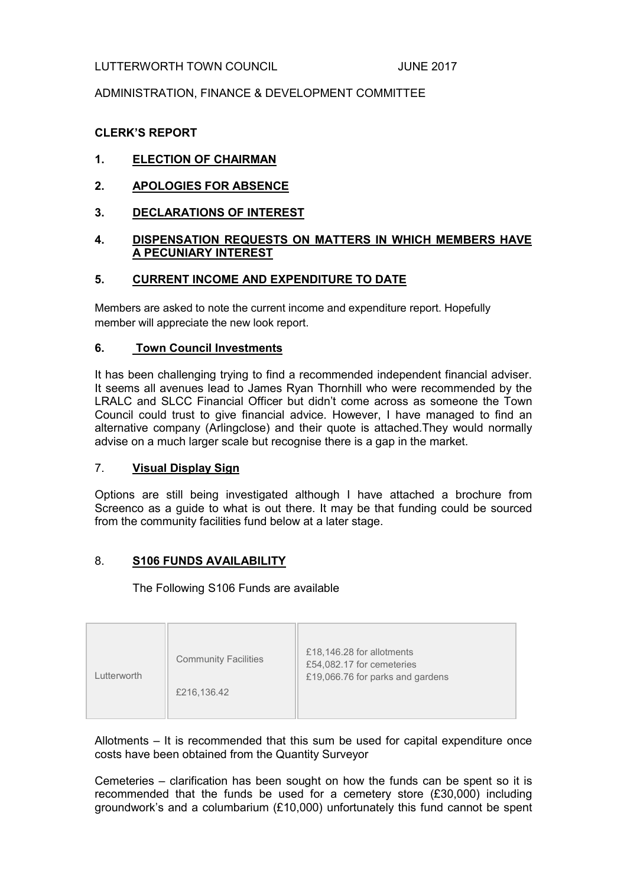## LUTTERWORTH TOWN COUNCIL **COUNCIL** JUNE 2017

## ADMINISTRATION, FINANCE & DEVELOPMENT COMMITTEE

# CLERK'S REPORT

# 1. ELECTION OF CHAIRMAN

- 2. APOLOGIES FOR ABSENCE
- 3. DECLARATIONS OF INTEREST

### 4. DISPENSATION REQUESTS ON MATTERS IN WHICH MEMBERS HAVE A PECUNIARY INTEREST

#### 5. CURRENT INCOME AND EXPENDITURE TO DATE

Members are asked to note the current income and expenditure report. Hopefully member will appreciate the new look report.

#### 6. Town Council Investments

It has been challenging trying to find a recommended independent financial adviser. It seems all avenues lead to James Ryan Thornhill who were recommended by the LRALC and SLCC Financial Officer but didn't come across as someone the Town Council could trust to give financial advice. However, I have managed to find an alternative company (Arlingclose) and their quote is attached.They would normally advise on a much larger scale but recognise there is a gap in the market.

#### 7. Visual Display Sign

Options are still being investigated although I have attached a brochure from Screenco as a guide to what is out there. It may be that funding could be sourced from the community facilities fund below at a later stage.

#### 8. S106 FUNDS AVAILABILITY

The Following S106 Funds are available

| <b>Community Facilities</b> | £18,146.28 for allotments        |
|-----------------------------|----------------------------------|
| Lutterworth                 | £54,082.17 for cemeteries        |
| £216,136.42                 | £19,066.76 for parks and gardens |

Allotments – It is recommended that this sum be used for capital expenditure once costs have been obtained from the Quantity Surveyor

Cemeteries – clarification has been sought on how the funds can be spent so it is recommended that the funds be used for a cemetery store (£30,000) including groundwork's and a columbarium (£10,000) unfortunately this fund cannot be spent